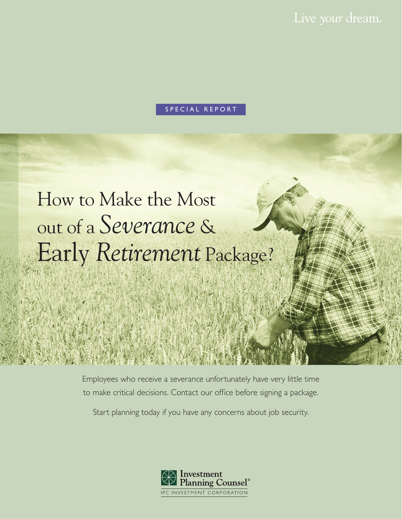Live your dream.

#### SPECIAL REPORT

# How to Make the Most out of a *Severance* & Early *Retirement* Package?

Employees who receive a severance unfortunately have very little time to make critical decisions. Contact our office before signing a package.

Start planning today if you have any concerns about job security.

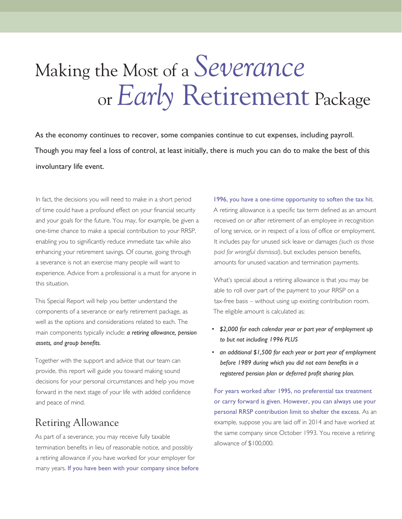# Making the Most of a *Severance* or *Early* Retirement Package

As the economy continues to recover, some companies continue to cut expenses, including payroll. Though you may feel a loss of control, at least initially, there is much you can do to make the best of this involuntary life event.

In fact, the decisions you will need to make in a short period of time could have a profound effect on your financial security and your goals for the future. You may, for example, be given a one-time chance to make a special contribution to your RRSP, enabling you to significantly reduce immediate tax while also enhancing your retirement savings. Of course, going through a severance is not an exercise many people will want to experience. Advice from a professional is a must for anyone in this situation.

This Special Report will help you better understand the components of a severance or early retirement package, as well as the options and considerations related to each. The main components typically include: *a retiring allowance, pension assets, and group benefits.*

Together with the support and advice that our team can provide, this report will guide you toward making sound decisions for your personal circumstances and help you move forward in the next stage of your life with added confidence and peace of mind.

## Retiring Allowance

As part of a severance, you may receive fully taxable termination benefits in lieu of reasonable notice, and possibly a retiring allowance if you have worked for your employer for many years. If you have been with your company since before

#### 1996, you have a one-time opportunity to soften the tax hit.

A retiring allowance is a specific tax term defined as an amount received on or after retirement of an employee in recognition of long service, or in respect of a loss of office or employment. It includes pay for unused sick leave or damages *(such as those paid for wrongful dismissal)*, but excludes pension benefits, amounts for unused vacation and termination payments.

What's special about a retiring allowance is that you may be able to roll over part of the payment to your RRSP on a tax-free basis – without using up existing contribution room. The eligible amount is calculated as:

- *\$2,000 for each calendar year or part year of employment up to but not including 1996 PLUS*
- *an additional \$1,500 for each year or part year of employment before 1989 during which you did not earn benefits in a registered pension plan or deferred profit sharing plan.*

For years worked after 1995, no preferential tax treatment or carry forward is given. However, you can always use your personal RRSP contribution limit to shelter the excess. As an example, suppose you are laid off in 2014 and have worked at the same company since October 1993. You receive a retiring allowance of \$100,000.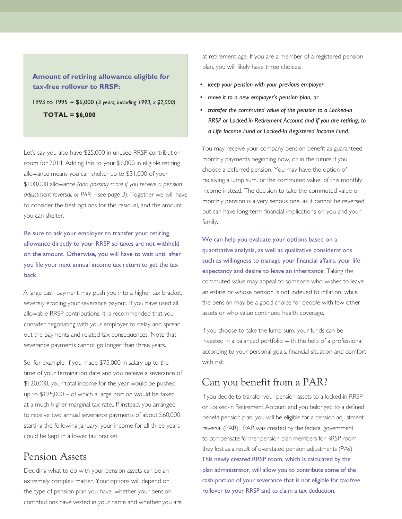#### **Amount of retiring allowance eligible for tax-free rollover to RRSP:**

1993 to 1995 = \$6,000 (3 *years, including 1993, x \$2,000)* **TOTAL = \$6,000**

Let's say you also have \$25,000 in unused RRSP contribution room for 2014. Adding this to your \$6,000 in eligible retiring allowance means you can shelter up to \$31,000 of your \$100,000 allowance *(and possibly more if you receive a pension adjustment reversal, or PAR – see page 3)*. Together we will have to consider the best options for this residual, and the amount you can shelter.

Be sure to ask your employer to transfer your retiring allowance directly to your RRSP so taxes are not withheld on the amount. Otherwise, you will have to wait until after you file your next annual income tax return to get the tax back.

A large cash payment may push you into a higher tax bracket, severely eroding your severance payout. If you have used all allowable RRSP contributions, it is recommended that you consider negotiating with your employer to delay and spread out the payments and related tax consequences. Note that severance payments cannot go longer than three years.

So, for example, if you made \$75,000 in salary up to the time of your termination date and you receive a severance of \$120,000, your total income for the year would be pushed up to \$195,000 – of which a large portion would be taxed at a much higher marginal tax rate.. If instead, you arranged to receive two annual severance payments of about \$60,000 starting the following January, your income for all three years could be kept in a lower tax bracket.

### Pension Assets

Deciding what to do with your pension assets can be an extremely complex matter. Your options will depend on the type of pension plan you have, whether your pension contributions have vested in your name and whether you are at retirement age. If you are a member of a registered pension plan, you will likely have three choices:

- *• keep your pension with your previous employer*
- *• move it to a new employer's pension plan, or*
- *transfer the commuted value of the pension to a Locked-in RRSP or Locked-in Retirement Account and if you are retiring, to a Life Income Fund or Locked-In Registered Income Fund.*

You may receive your company pension benefit as guaranteed monthly payments beginning now, or in the future if you choose a deferred pension. You may have the option of receiving a lump sum, or the commuted value, of this monthly income instead. The decision to take the commuted value or monthly pension is a very serious one, as it cannot be reversed but can have long-term financial implications on you and your family.

We can help you evaluate your options based on a quantitative analysis, as well as qualitative considerations such as willingness to manage your financial affairs, your life expectancy and desire to leave an inheritance. Taking the commuted value may appeal to someone who wishes to leave an estate or whose pension is not indexed to inflation, while the pension may be a good choice for people with few other assets or who value continued health coverage.

If you choose to take the lump sum, your funds can be invested in a balanced portfolio with the help of a professional according to your personal goals, financial situation and comfort with risk

### Can you benefit from a PAR?

If you decide to transfer your pension assets to a locked-in RRSP or Locked-in Retirement Account and you belonged to a defined benefit pension plan, you will be eligible for a pension adjustment reversal (PAR). PAR was created by the federal government to compensate former pension plan members for RRSP room they lost as a result of overstated pension adjustments (PAs). This newly created RRSP room, which is calculated by the plan administrator, will allow you to contribute some of the cash portion of your severance that is not eligible for tax-free rollover to your RRSP and to claim a tax deduction.